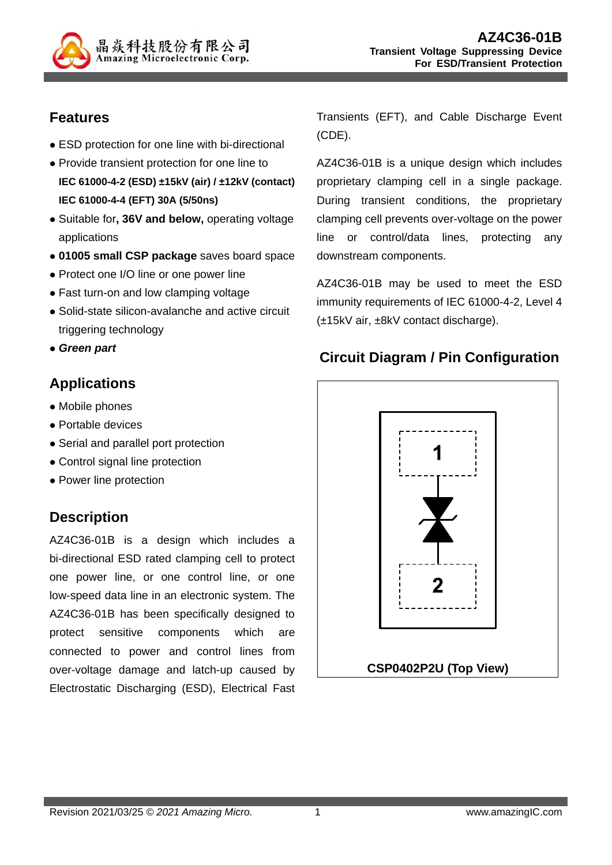

## **Features**

- ESD protection for one line with bi-directional
- Provide transient protection for one line to **IEC 61000-4-2 (ESD) ±15kV (air) / ±12kV (contact) IEC 61000-4-4 (EFT) 30A (5/50ns)**
- Suitable for**, 36V and below,** operating voltage applications
- **01005 small CSP package** saves board space
- Protect one I/O line or one power line
- Fast turn-on and low clamping voltage
- Solid-state silicon-avalanche and active circuit triggering technology
- *Green part*

# **Applications**

- Mobile phones
- Portable devices
- Serial and parallel port protection
- Control signal line protection
- Power line protection

## **Description**

AZ4C36-01B is a design which includes a bi-directional ESD rated clamping cell to protect one power line, or one control line, or one low-speed data line in an electronic system. The AZ4C36-01B has been specifically designed to protect sensitive components which are connected to power and control lines from over-voltage damage and latch-up caused by Electrostatic Discharging (ESD), Electrical Fast Transients (EFT), and Cable Discharge Event (CDE).

AZ4C36-01B is a unique design which includes proprietary clamping cell in a single package. During transient conditions, the proprietary clamping cell prevents over-voltage on the power line or control/data lines, protecting any downstream components.

AZ4C36-01B may be used to meet the ESD immunity requirements of IEC 61000-4-2, Level 4 (±15kV air, ±8kV contact discharge).

## **Circuit Diagram / Pin Configuration**

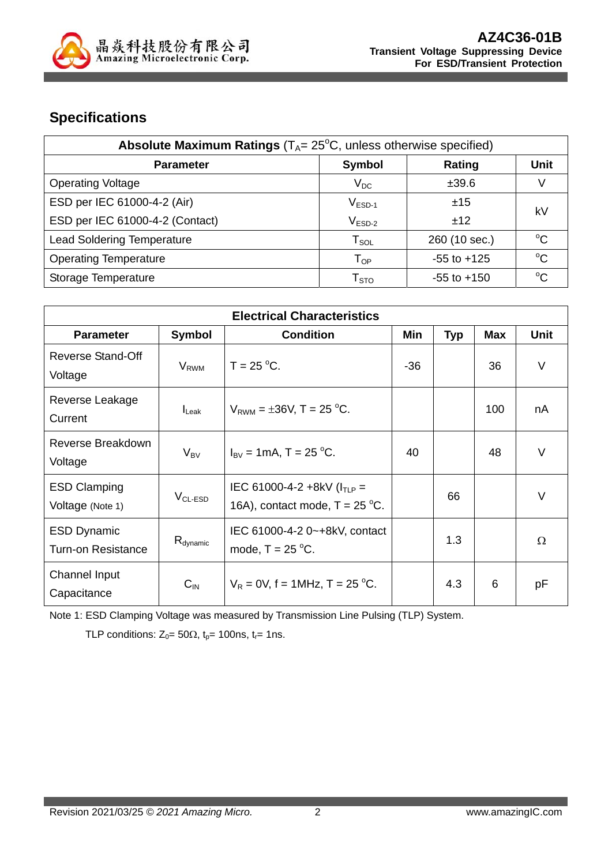

## **Specifications**

| Absolute Maximum Ratings ( $T_A$ = 25°C, unless otherwise specified) |                                |                 |              |  |
|----------------------------------------------------------------------|--------------------------------|-----------------|--------------|--|
| <b>Parameter</b>                                                     | <b>Symbol</b>                  | Rating          | <b>Unit</b>  |  |
| <b>Operating Voltage</b>                                             | $V_{DC}$                       | ±39.6           |              |  |
| ESD per IEC 61000-4-2 (Air)                                          | $V_{ESD-1}$                    | ±15             | k٧           |  |
| ESD per IEC 61000-4-2 (Contact)                                      | $V_{ESD-2}$                    | ±12             |              |  |
| <b>Lead Soldering Temperature</b>                                    | ${\mathsf T}_{\text{\rm SOL}}$ | 260 (10 sec.)   | $^{\circ}$ C |  |
| <b>Operating Temperature</b>                                         | $\mathsf{T}_{\mathsf{OP}}$     | $-55$ to $+125$ | $^{\circ}C$  |  |
| Storage Temperature                                                  | ${\sf T}_{\text{STO}}$         | $-55$ to $+150$ | $^{\circ}$ C |  |

| <b>Electrical Characteristics</b>               |                         |                                                                      |       |            |            |             |
|-------------------------------------------------|-------------------------|----------------------------------------------------------------------|-------|------------|------------|-------------|
| <b>Parameter</b>                                | Symbol                  | <b>Condition</b>                                                     | Min   | <b>Typ</b> | <b>Max</b> | <b>Unit</b> |
| <b>Reverse Stand-Off</b><br>Voltage             | <b>V</b> <sub>RWM</sub> | $T = 25 °C$ .                                                        | $-36$ |            | 36         | V           |
| Reverse Leakage<br>Current                      | $I_{\text{Leak}}$       | $V_{RWM} = \pm 36V$ , T = 25 °C.                                     |       |            | 100        | nA          |
| Reverse Breakdown<br>Voltage                    | $V_{BV}$                | $I_{\text{BV}} = 1 \text{mA}$ , T = 25 °C.                           | 40    |            | 48         | $\vee$      |
| <b>ESD Clamping</b><br>Voltage (Note 1)         | $VCL-ESD$               | IEC 61000-4-2 +8kV ( $I_{TLP}$ =<br>16A), contact mode, $T = 25$ °C. |       | 66         |            | $\vee$      |
| <b>ESD Dynamic</b><br><b>Turn-on Resistance</b> | $R_{\text{dynamic}}$    | IEC 61000-4-2 0~+8kV, contact<br>mode, $T = 25$ °C.                  |       | 1.3        |            | $\Omega$    |
| Channel Input<br>Capacitance                    | $C_{IN}$                | $V_R = 0V$ , f = 1MHz, T = 25 °C.                                    |       | 4.3        | 6          | pF          |

Note 1: ESD Clamping Voltage was measured by Transmission Line Pulsing (TLP) System.

TLP conditions:  $Z_0 = 50\Omega$ ,  $t_p = 100$ ns,  $t_r = 1$ ns.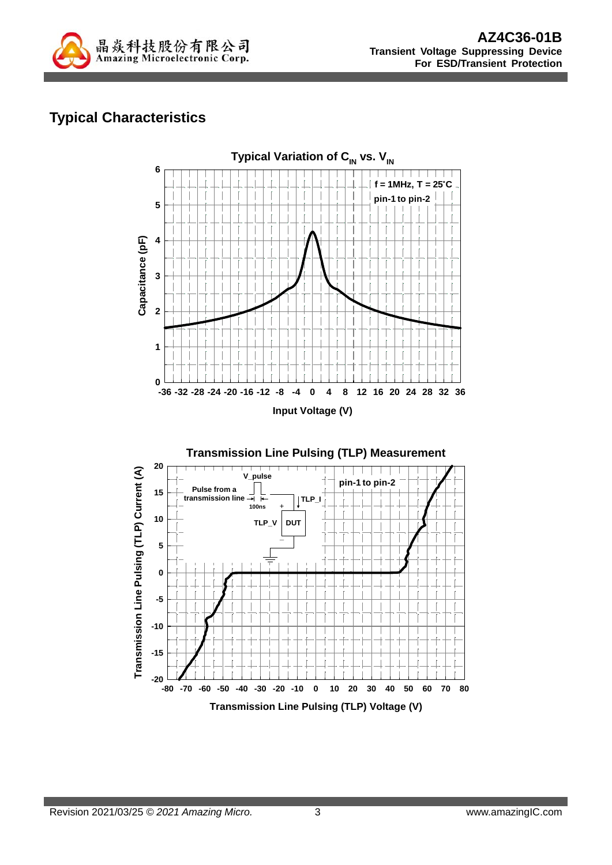

# **Typical Characteristics**

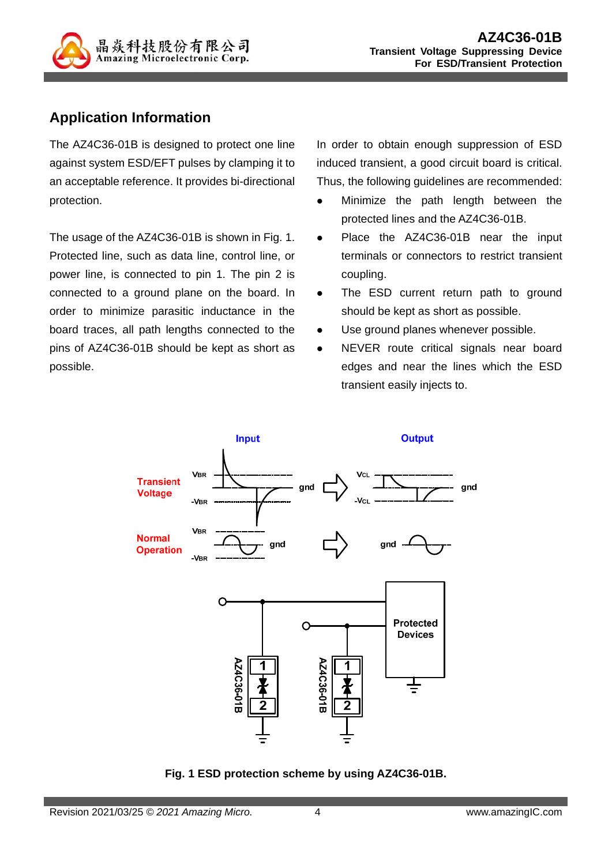

## **Application Information**

The AZ4C36-01B is designed to protect one line against system ESD/EFT pulses by clamping it to an acceptable reference. It provides bi-directional protection.

The usage of the AZ4C36-01B is shown in Fig. 1. Protected line, such as data line, control line, or power line, is connected to pin 1. The pin 2 is connected to a ground plane on the board. In order to minimize parasitic inductance in the board traces, all path lengths connected to the pins of AZ4C36-01B should be kept as short as possible.

In order to obtain enough suppression of ESD induced transient, a good circuit board is critical. Thus, the following guidelines are recommended:

- Minimize the path length between the protected lines and the AZ4C36-01B.
- Place the AZ4C36-01B near the input terminals or connectors to restrict transient coupling.
- The ESD current return path to ground should be kept as short as possible.
- Use ground planes whenever possible.
- NEVER route critical signals near board edges and near the lines which the ESD transient easily injects to.



**Fig. 1 ESD protection scheme by using AZ4C36-01B.**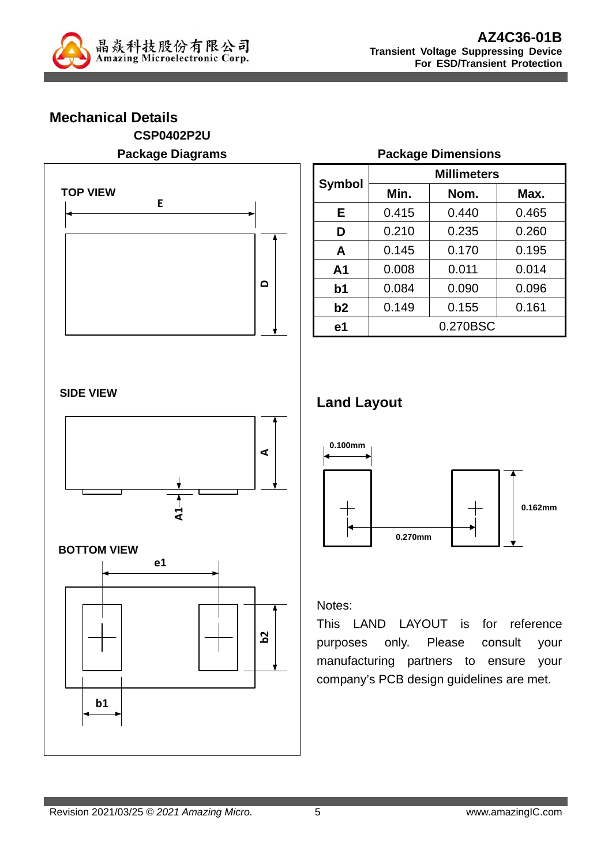

### **Mechanical Details CSP0402P2U Package Diagrams**



|                | <b>Millimeters</b> |          |       |  |  |
|----------------|--------------------|----------|-------|--|--|
| <b>Symbol</b>  | Min.               | Nom.     | Max.  |  |  |
| Е              | 0.415              | 0.440    | 0.465 |  |  |
| D              | 0.210              | 0.235    | 0.260 |  |  |
| A              | 0.145              | 0.170    | 0.195 |  |  |
| A <sub>1</sub> | 0.008              | 0.011    | 0.014 |  |  |
| b <sub>1</sub> | 0.084              | 0.090    | 0.096 |  |  |
| b2             | 0.149              | 0.155    | 0.161 |  |  |
| e <sub>1</sub> |                    | 0.270BSC |       |  |  |

**Package Dimensions** 

#### **SIDE VIEW**



#### **BOTTOM VIEW**



### **Land Layout**



#### Notes:

This LAND LAYOUT is for reference purposes only. Please consult your manufacturing partners to ensure your company's PCB design guidelines are met.